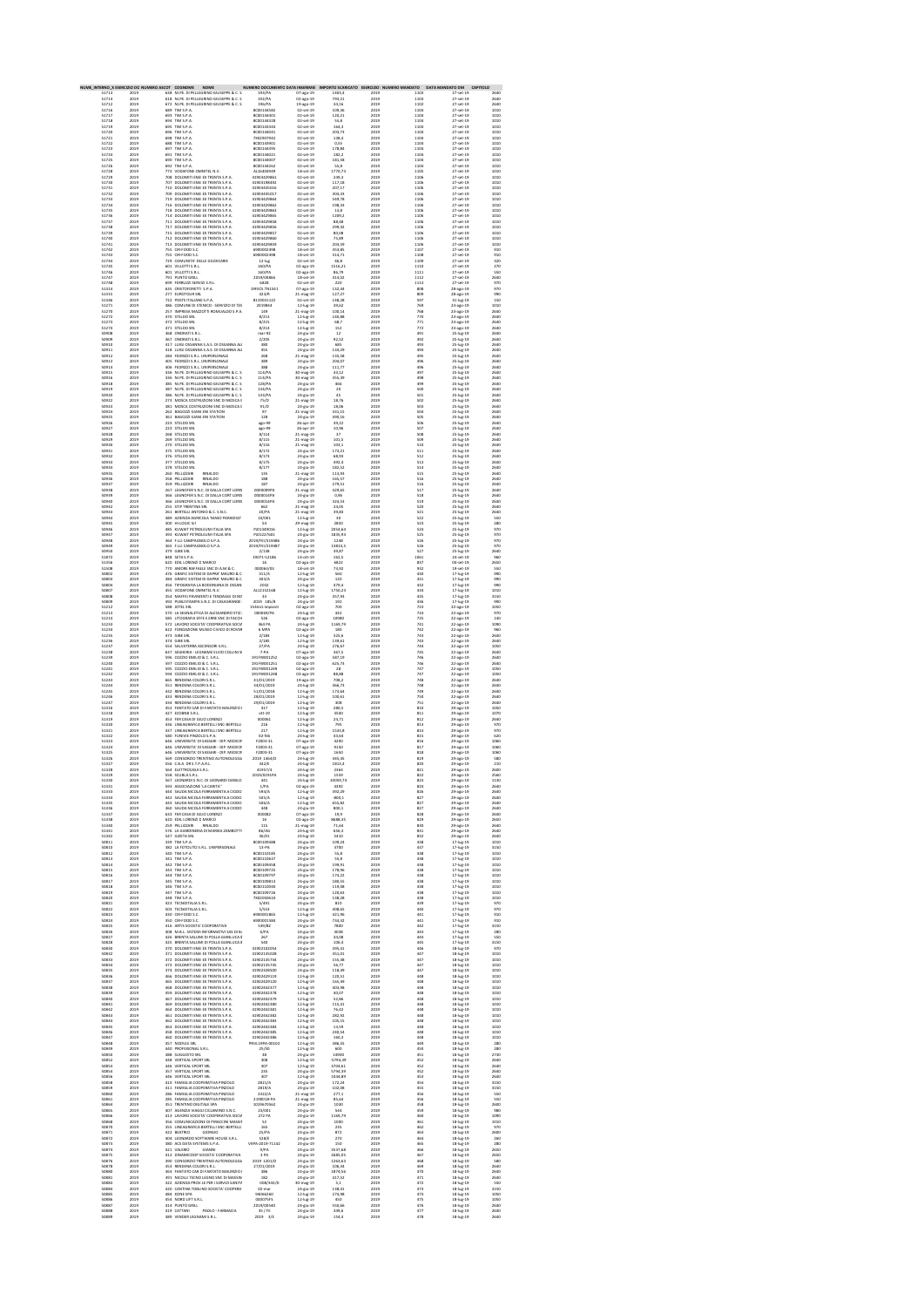| <b>TERNO &gt;</b><br>51713<br>51714 | חם מולו<br>2019<br>2019 | NUMERO ASCOT COSNOME NOME<br>638 NI.PE. DI PELLEGRINO GIUSEPPE & C. S<br>618 NI.PE. DI PELLEGRINO GIUSEPPE & C. S.                   | 193/PA<br>192/PA                          | RO DOCUMENTO DATA INSERIMEI<br>07-ago-19<br>02-ago-19 | 1403,4<br>793.21               | RTO SCARICATO ESERCIZIO I NUMERO MAI<br>2019<br>2019 | ATO.<br>1103<br>1103                               | DATA MANDATO DM<br><b>CAPITOL</b><br>27-set-19<br>27-set-19 | 2640<br>2640         |
|-------------------------------------|-------------------------|--------------------------------------------------------------------------------------------------------------------------------------|-------------------------------------------|-------------------------------------------------------|--------------------------------|------------------------------------------------------|----------------------------------------------------|-------------------------------------------------------------|----------------------|
| 51712<br>51716                      | 2019<br>2019            | 672<br>NI.PE. DI PELLEGRINO GIUSEPPE & C. S<br>689 TIM S.P.A.                                                                        | 196/PA<br>8000144582                      | 19-ago-19<br>02-set-19                                | 34,16<br>109,36                | 2019<br>2019                                         | 1102<br>1104                                       | 27-set-19<br>27-set-19                                      | 2640<br>1010         |
| 51717<br>51718                      | 2019<br>2019            | 693 TIM S.P.A.                                                                                                                       | 8000144401<br>8000144328                  | 02-set-19                                             | 120.21                         | 2019<br>2019                                         | 1104                                               | 27-set-19<br>27-set-19                                      | 1010                 |
| 51719                               | 2019                    | 694<br>TIM S.P.A<br>695 TIM S.P.A.                                                                                                   | 8000143344                                | 02-set-19<br>02-set-19                                | 55,8<br>164.3                  | 2019                                                 | 1104<br>1104                                       | 27-set-19<br>27-set-19                                      | 1010<br>1010         |
| 51720<br>51721<br>51722             | 2019<br>2019<br>2019    | 696 TIM S.P.A.<br>698 TIM S.P.A<br>688 TIM S.P.A                                                                                     | 8000144041<br>7x02907942<br>8000143901    | 02-set-19<br>02-set-19<br>02-set-19                   | 203,73<br>138,4<br>0.55        | 2019<br>2019<br>2019                                 | 1104<br>1104<br>1104                               | 27-set-19<br>27-set-19                                      | 1010<br>1010<br>1010 |
| 51723<br>51724                      | 2019<br>2019            | 697<br>TIM S.P.A<br>691 TIM S.P.A                                                                                                    | 8000144395<br>8000144021                  | 02-set-19<br>02-set-19                                | 178,84<br>182.2                | 2019<br>2019                                         | 1104<br>1104                                       | 27-set-19                                                   | 1010<br>1010         |
| 51725                               | 2019                    | 690<br>TIM S.P.A                                                                                                                     | 8000144007<br>8000144262                  | 02-set-19                                             | 181,58                         | 2019                                                 | 1104                                               | 27-set-19<br>27-set-19<br>27-set-19                         | 1010                 |
| 51726<br>51728                      | 2019<br>2019<br>2019    | 692 TIM S.P.A.<br>773 VODAFONE OMNITEL N.V.<br>DOLOMITI ENE EX TRENTA S.P.A.<br>708                                                  | 4116404949                                | 02-set-19<br>18-set-19                                | 55,8<br>1770.73                | 2019<br>2019<br>2019                                 | 1104<br>1105                                       | 27-set-19<br>27-set-19                                      | 1010<br>1010         |
| 51729<br>51730                      | 2019                    |                                                                                                                                      | 41903429861<br>41903198492                | 02-set-19<br>02-set-19                                | 249,3<br>117.18                | 2019                                                 | 1106<br>1106                                       | 27-set-19                                                   | 1010<br>1010         |
| 51731<br>51732<br>51733             | 2019<br>2019<br>2019    | 707 DOLOMITIENE EXTRENTAS.P.A.<br>710 DOLOMITIENE EXTRENTAS.P.A.<br>709 DOLOMITIENE EXTRENTAS.P.A.<br>219 DOLOMITI ENF EXTRENTAS P A | 41903435016<br>41903435017<br>41903429864 | 02-set-19<br>02-set-19<br>02-set-19                   | 207,17<br>304,33<br>549.78     | 2019<br>2019<br>2019                                 | 1106<br>1106<br>1106                               | 27-set-19<br>27-set-19<br>27-set-19                         | 1010<br>1010<br>1010 |
| 51734                               | 2019                    | 716 DOLOMITIENE EXTRENTAS.P.A.                                                                                                       | 41903429862                               | 02-set-19                                             | 198,33                         | 2019                                                 | 1106                                               | 27-set-19                                                   | 1010                 |
| 51735<br>51736                      | 2019<br>2019            | 718 DOLOMITI ENE EX TRENTA S.P.A.<br>714 DOLOMITI ENE EX TRENTA S.P.A.                                                               | 41903429863<br>41903429865                | 02-set-19<br>02-set-19                                | 13.8<br>1209,2                 | 2019<br>2019                                         | 1106<br>1106                                       | 27-set-19<br>27-set-19                                      | 1010<br>1010         |
| 51737<br>51738                      | 2019<br>2019            | 711 DOLOMITI ENE EX TRENTA S.P.A.<br>717 DOLOMITI ENE EX TRENTA S.P.A.                                                               | 41903429858<br>41903429856                | 02-set-19<br>02-set-19                                | 88,48<br>299.42                | 2019<br>2019                                         | 1106<br>1106                                       | 27-set-19<br>27-set-19                                      | 1010<br>1010         |
| 51739<br>51740                      | 2019<br>2019            | DOLOMITI ENE EX TRENTA S.P.A.<br>715<br>712 DOLOMITI ENE EX TRENTA S.P.A.                                                            | 41903429857<br>41903429860                | 02-set-19<br>02-set-19                                | 80,08<br>75.89                 | 2019<br>2019                                         | 1106<br>1106                                       | 27-set-19<br>27-set-19                                      | 1010<br>1010         |
| 51741<br>51742                      | 2019<br>2019            | 713 DOLOMITI ENE EX TRENTA S.P.A.<br>755 CIR-FOOD S.C.                                                                               | 41903429859<br>6900002498                 | 02-set-19<br>18-set-19                                | 203,59<br>353,85               | 2019<br>2019                                         | 1106<br>1107                                       | 27-set-19<br>27-set-19                                      | 1010<br>910          |
| 51743<br>51744                      | 2019<br>2019            | 755 CIR-FOOD S.C.<br>755 CIR-FOOD S.C.<br>729 COMUNITA' DELLE GIUDICARIE                                                             | 6900002498<br>12-lug                      | 18-set-19<br>02-set-19                                | $314.71$<br>$46.8$             | 2019<br>2019                                         | 1108<br>1109                                       | 27-set-19<br>27-set-19                                      | 910<br>320           |
| 51745<br>51746                      | 2019<br>2019            | 601 VILLOTTI S.R.L.<br>601<br>VILLOTTI S.R.L.                                                                                        | 160/PA<br>160/PA                          | 02-240-19<br>$02 - 2g - 19$                           | 1516.21<br>86,79               | 2019<br>2019                                         | 1110<br>1111                                       | 27-set-19<br>27-set-19                                      | 270<br>550           |
| 51747<br>51748<br>51314             | 2019<br>2019<br>2019    | 791 PUNTO GRILL<br>699 FERRUZZI SERVIZI S.R.L.<br>635 CRISTOFORETTI S.P.A.                                                           | 2019/00866<br>6828<br>19FECS.TN1541       | 18-set-19<br>02-set-19<br>07-ago-19                   | 414,02<br>$\frac{220}{132,44}$ | 2019<br>2019<br>2019                                 | 1112<br>$\begin{array}{r} 1113 \\ 808 \end{array}$ | 27-set-19<br>27-set-19<br>28-ago-19                         | 2640<br>970<br>970   |
| 51315                               | 2019                    | 277 EUROTOUR SRL                                                                                                                     | 423/R                                     | 21.mag.19                                             | 127.27                         | 2019                                                 | 809                                                | 28-ago-19                                                   | 990                  |
| 51346<br>51271                      | 2019<br>2019            | 722<br>POSTE ITALIANE S.P.A.<br>486 COMUNE DI STENICO - SERVIZIO DI TES                                                              | 8119031122<br>2019844                     | 02-set-19<br>12-lug-19                                | 148,28<br>39,62                | 2019<br>2019                                         | 597<br>769                                         | 31-lug-19<br>23-ago-19                                      | 150<br>1010          |
| 51270<br>51272                      | 2019<br>2019            | 257 IMPRESA MAZZOTTI ROMUALDO S.P.A                                                                                                  | $\frac{149}{8/213}$                       | 21-mag-19<br>12-lug-19                                | 100.14<br>140,88               | 2019<br>2019                                         | 768<br>770                                         | 23-ago-19<br>23-ago-19                                      | 2640<br>2640         |
| 51273<br>51274                      | 2019<br>2019            | 472 STELDO SRL<br>471 STELDO SRL                                                                                                     | 8/215<br>8/214                            | 12-lug-19<br>$12 - log - 19$                          | 68.7<br>152                    | 2019<br>2019                                         | 771<br>772                                         | 23-ago-19<br>23-ago-19                                      | 2640<br>2640         |
| 50908<br>50909<br>50910             | 2019<br>2019<br>2019    | 368 ONORATI S.R.L.<br>367 ONORATI S.R.L.<br>417 LUIGI OSSANNA S.A.S. DI OSSANNA ALI                                                  | $mar-92$<br>2/205                         | 24-giu-19<br>24-aiu-19<br>24-giu-19                   | 12<br>$\frac{92.52}{685}$      | 2019<br>2019<br>2019                                 | 491<br>492<br>493                                  | 25-lug-19<br>25-lug-19<br>25-lug-19                         | 2640<br>2640<br>2640 |
| 50911                               | 2019                    | 418 LUIGI OSSANNA S.A.S. DI OSSANNA ALI                                                                                              | 380<br>455                                | 24-alu-19                                             | 134.29                         | 2019                                                 | 494                                                | 25-lug-19<br>25-lug-19                                      | 2640                 |
| 50912<br>50913                      | 2019<br>2019            | 284 FEDRIZZI S.R.L. UNIPERSONALE<br>405 FEDRIZZI S.R.L. UNIPERSONALE                                                                 | 268<br>389                                | 21-mag-19<br>24-giu-19                                | 135,58<br>204,07               | 2019<br>2019                                         | 495<br>496                                         | 25-lug-19                                                   | 2640<br>2640         |
| 50914<br>50915                      | 2019<br>2019            | 406 FEDRIZZI S.R.L. UNIPERSONALE<br>336 NI.PE. DI PELLEGRINO GIUSEPPE & C. S                                                         | $388$<br>$114$ /PA                        | 24-aiu-19<br>30-mag-19                                | $\frac{111.77}{43,12}$         | 2019<br>2019                                         | 496<br>497                                         | 25-lug-19<br>25-lug-19                                      | 2640<br>2640         |
| 50916<br>50918                      | 2019<br>2019            | 336 NI.PE. DI PELLEGRINO GIUSEPPE & C. S.                                                                                            | 114/PA<br>128/PA                          | 30-mag-19<br>24-giu-19                                | 355.39<br>466                  | 2019<br>2019                                         | 498<br>499                                         | 25-lug-19<br>25-lug-19                                      | 2640<br>2640         |
| 50919                               | 2019                    | 385 NLPE, DI PELLEGRINO GIUSEPPE & C. S                                                                                              | 134/PA                                    | 24-giu-19                                             | 20                             | 2019                                                 | 500                                                | 25-lug-19                                                   | 2640                 |
| 50920<br>50922<br>50923             | 2019<br>2019<br>2019    | 386 NLPE DI PELLEGRINO GIUSEPPE & C. S<br>273 MOSCA COSTRUZIONI SNC DI MOSCA (<br>381 MOSCA COSTRUZIONI SNC DI MOSCA (               | 133/PA<br>75/D<br>91/D                    | 24-aiu-19<br>21-mag-19<br>24-alu-19                   | $\frac{45}{18,76}$<br>18.06    | 2019<br>2019<br>2019                                 | 501<br>502<br>503                                  | 25-lug-19<br>25-lug-19                                      | 2640<br>2640<br>2640 |
| 50924<br>50925                      | 2019<br>2019            | 361 MUSCA COSTRUZIONI SNC DI<br>262 BAGOZZI GIAN ENI STATION<br>361 BAGOZZI GIAN ENI STATION                                         | 97<br>128                                 | 21-mag-19<br>24-giu-19                                | 331,15<br>490,16               | 2019<br>2019                                         | 504<br>505                                         | 25-lug-19<br>25-lug-19<br>25-lug-19                         | 2640<br>2640         |
| 50926<br>50927                      | 2019<br>2019            | 223 STELDO SRL<br>223 STELDO SRL                                                                                                     | ago-99<br>ago-99                          | 26-apr-19<br>26-apr-19                                | 39,22<br>10,96                 | 2019<br>2019                                         | 506<br>507                                         | 25-lug-19<br>25-lug-19                                      | 2640<br>2640         |
| 50928<br>50929                      | 2019<br>2019            | 268 STELDO SRL<br>269 STELDO SRL                                                                                                     | 8/114<br>8/115                            | 21-mag-19<br>21-mag-19                                | 37<br>101.5                    | 2019<br>2019                                         | 508<br>509                                         | 25-lug-19<br>25-lug-19                                      | 2640<br>2640         |
| 50930                               | 2019                    | 270 STELDO SRL                                                                                                                       | 8/116                                     | 21-mag-19                                             | 103,1                          | 2019                                                 | 510                                                | 25-lug-19                                                   | 2640                 |
| 50931<br>50932<br>50933             | 2019<br>2019<br>2019    | 375 STELDO SRL<br>376 STELDO SRL<br>377 STELDO SRL                                                                                   | $\frac{8}{172}$<br>8/175                  | 24-giu-19<br>24-giu-19<br>24-giu-19                   | 173,21<br>68,93<br>492.4       | 2019<br>2019<br>2019                                 | $\frac{511}{512}$<br>513                           | 25-lug-19<br>25-lug-19                                      | 2640<br>2640<br>2640 |
| 50934<br>50935                      | 2019<br>2019            | 378 STELDO SRL<br>260 PELLIZZARI<br>RINALDO                                                                                          | 8/177<br>135                              | 24-aiu-19<br>21-mag-19                                | 182.52<br>113,93               | 2019<br>2019                                         | 514<br>515                                         | 25-lug-19<br>25-lug-19<br>25-lug-19                         | 2640<br>2640         |
| 50936<br>50937                      | 2019<br>2019            | 358 PELLIZZARI<br>359 PELLIZZARI<br>RINALDO<br>RINALDO                                                                               | $\frac{188}{187}$                         | 24-giu-19<br>24-giu-19                                | 165,57<br>279,51               | 2019<br>2019                                         | 516<br>516                                         | 25-lug-19<br>25-lug-19                                      | 2640<br>2640         |
| 50938                               | 2019                    | 267 LEGNOFER S.N.C. DI DALLA CORT LORIS                                                                                              | 000000984                                 | 21-mag-19                                             | 429.65                         | 2019                                                 | 517                                                | 25-lug-19<br>25-lug-19                                      | 2640                 |
| 50939<br>50940                      | 2019<br>2019            | LEGNOFER S.N.C. DI DALLA CORT LORIS<br>366<br>366 LEGNOFER S.N.C. DI DALLA CORT LORIS                                                | 0000014PA<br>0000014PA                    | 24-siu-19<br>24-giu-19                                | 0.96<br>324,53                 | 2019<br>2019                                         | 518<br>519                                         | 25-lug-19                                                   | 2640<br>2640         |
| 50942<br>50943                      | 2019<br>2019            | STIP TRENTINA SRL<br>BERTELLI ANTONIO & C. S.N.C.<br>255<br>261                                                                      | 662<br>20/PA                              | 21-mag-19<br>21-mag-19                                | 24,05<br>39,84                 | 2019<br>2019                                         | 520<br>521                                         | 25-lug-19<br>25-lug-19                                      | 2640<br>2640         |
| 50944<br>5094S                      | 2019<br>2019            | 489 AZIENDA AGRICOLA 'MASO PARADISO'<br>300 HI-LOGIC Sri<br>485 KUWAIT PETROLEUM ITALIA SPA                                          | 10/001<br>10/001<br>54<br>001349016       | 12-lug-19<br>29-mag-19                                | 30<br>2850                     | 2019<br>2019                                         | 522<br>523                                         | 25-lug-19<br>25-lug-19                                      | 550<br>280           |
| 50946<br>50947<br>50948             | 2019<br>2019<br>2019    | 393 KUWAIT PETROLEUM ITALIA SPA                                                                                                      | PJ01227601<br>2019/FEI/319486             | 12-lug-19<br>24-giu-19<br>24-giu-19                   | 2054,64<br>1835,93<br>1248     | 2019<br>2019<br>2019                                 | 524<br>$525$<br>$526$                              | 25-lug-19<br>25-lug-19<br>25-lug-19                         | 970<br>970<br>970    |
| 50949                               | 2019                    | 365 F.LLI CAMPAGNOLO S.P.A.                                                                                                          | 2019/FEI/319487                           | 24-giu-19                                             | 13814.5                        | 2019                                                 | 526                                                | 25-lug-19<br>25-lug-19                                      | 970                  |
| 50950<br>51872                      | 2019<br>2019            | 379 GIBE SRL<br>848 SETA S.P.A.                                                                                                      | 2/138<br>19071-52186                      | 24-siu-19<br>14-ott-19                                | 39.87<br>162,5                 | 2019<br>2019                                         | 527<br>1061                                        | 24-set-19                                                   | 2640<br>960          |
| 51356<br>51508                      | 2019<br>2019            | 620 EDIL LORENZI E MARCO<br>770 AMORE RAFFAELE SNC DI A.M.& C.                                                                       | 16<br>000063/03                           | 02-ago-19<br>18-set-19                                | 6822<br>73,92                  | 2019<br>2019                                         | 837<br>932                                         | 04-set-19<br>19-set-19                                      | 2650<br>550          |
| 50802<br>50803                      | 2019<br>2019            | 476 GRAFIC SISTEM DI DAPRA' MAURO & C<br>GRAFIC SISTEM DI DAPRA' MAURO & C                                                           | 311/A<br>303/A                            | 12-lug-19<br>24-aiu-19                                | 560<br>120                     | 2019<br>2019                                         | 430<br>431                                         | 17-lug-19<br>17-lug-19                                      | 990<br>990           |
| 50804<br>50807                      | 2019<br>2019<br>2019    | 456 TIPOGRAFIA LA BODONIANA DI OSSAN<br>VODAFONE OMNITEL N.V.<br>MAFFEI PAVIMENTI E TENDAGGI DI M<br>455<br>354                      | 2032<br>AL12152168                        | 12-lug-19<br>$12 - \log - 19$<br>$24 - g/\omega - 19$ | 479,4<br>1750,23<br>357,93     | 2019<br>2019<br>2019                                 | 432<br>$434$<br>$435$                              | 17-lug-19<br>17-lug-19<br>17-lug-19                         | 990<br>1010<br>3150  |
| 50808<br>50809                      | 2019                    | 392 PUBLISTAMPA S.N.C. DI CASAGRANDE                                                                                                 | 33<br>2019 185/8                          | 24-giu-19                                             | 192                            | 2019                                                 | 436                                                |                                                             | 990                  |
| 51212<br>51213                      | 2019<br>2019            | 588<br>JOTEL SRL<br>570 LA SEGNALETICA DI ALESSANDRO STIZ                                                                            | 154Inst.Impianti<br>000069/PA             | 02-ago-19<br>24-lug-19                                | 700<br>442                     | 2019<br>2019                                         | 723<br>724                                         | 17-lug-19<br>22-ago-19<br>22-ago-19                         | 1050<br>970          |
| 51214<br>51233                      | 2019<br>2019            | LITOGRAFIA EFFE E ERRE SNC DI FACCH<br>LAVORO SOCIETA' COOPERATIVA SOCIA<br>585<br>572                                               | 526<br>364 PA                             | 02-ago-19<br>24-lug-19                                | 10980<br>1169,79               | 2019<br>2019                                         | 725<br>741                                         | 22-ago-19<br>22-ago-19                                      | $\frac{140}{1090}$   |
| 51234<br>51235                      | 2019<br>2019            | 622 FONDAZIONE MUSEO CIVICO DI ROVER<br>473 GIBE SRL                                                                                 | 6 MPA<br>2/184                            | 02-ago-19<br>$12 - \frac{1000 - 19}{2000}$            | 180<br>325.6                   | 2019<br>2019                                         | 742<br>743                                         | 22-ago-19<br>22-ago-19                                      | 960<br>2640          |
| 51236                               | 2019                    | 474 GIBE SRL                                                                                                                         | 2/185                                     | 12-lug-19                                             | 139,61                         | 2019                                                 | 743                                                | 22-ago-19                                                   | 2640                 |
| 51237<br>51238<br>51239             | 2019<br>2019<br>2019    | 554 SALVATERRA ASCENSORI S.R.L.<br>637 SEGHERIA - LEGNAME ELVIO COLLINI S<br>596 COZZIO EMILIO & C. S.R.L.                           | $27/PA$<br>$7-PA$<br>191FW001252          | 24-lug-19<br>07-ago-19<br>02-ago-19                   | 276,67<br>367,5<br>587.19      | 2019<br>2019<br>2019                                 | 744<br>745<br>746                                  | 22-ago-19<br>22-ago-19<br>22-ago-19                         | 1050<br>2640<br>2640 |
| 51240<br>51241                      | 2019<br>2019            | 597 COZZIO EMILIO & C. S.R.L.<br>597 COZZIO EMILIO & C. S.R.L.                                                                       | 191FW001251<br>191FW001249                | 02-ago-19<br>$02 - 2g$ o-19                           | 625.73<br>28                   | 2019<br>2019                                         | $746$<br>$747$                                     | 22-ago-19<br>22-ago-19                                      | 2640<br>1050         |
| 51242<br>51243                      | 2019<br>2019            | COZZIO EMILIO & C. S.R.L.<br>RENDENA COLORI S.R.L.<br>594<br>665                                                                     | 191FW001248<br>41/01/2019                 | 02-ago-19<br>19-ago-19                                | 88,88<br>708,2                 | 2019<br>2019                                         | 747<br>748                                         | 22-ago-19<br>22-ago-19                                      | 1050<br>2640         |
| 51244                               | 2019                    | 551 RENDENA COLORI S.R.L.                                                                                                            | 34/01/2019                                | 24-lug-19                                             | 366.73                         | 2019                                                 | 748                                                | 22-ago-19                                                   | 2640                 |
| 51245<br>51246                      | 2019<br>2019            | RENDENA COLORI S.R.L.<br>432<br>433 RENDENA COLORI S.R.L.                                                                            | 51/01/2018<br>28/01/2019                  | $12 - log - 19$<br>12-lug-19                          | 173,64<br>100,61               | 2019<br>2019                                         | 749<br>750                                         | 22-ago-19<br>22-ago-19                                      | 2640<br>2640         |
| 51247<br>51316                      | 2019<br>2019            | 434 RENDENA COLORI S.R.L<br>452 FANTATO CAR DI FANTATO MAURIZIO I                                                                    | 29/01/2019<br>417                         | $12$ -lug-19<br>12-lug-19                             | 308<br>280.5                   | 2019<br>2019                                         | 751<br>810                                         | 22-ago-19<br>29-ago-19                                      | 2640<br>1050         |
| 51318<br>51319                      | 2019<br>2019            | 427 ECOBNB S.R.L.<br>427 COMMO 3.N.L.<br>453 FER CASA DI GIUO LORENZI<br>436 LINEAGRAFICA BERTELLI SNC-BERTELLI                      | $ott-19$<br>XDOO61                        | 12-lug-19<br>$12 - log - 19$                          | 3500<br>24,71                  | 2019<br>2019                                         | 811<br>812                                         | 29-ago-19<br>29-ago-19                                      | 1070<br>2640         |
| 51320<br>51321                      | 2019<br>2019            | 437 LINEAGRAFICA BERTELLI SNC-BERTELLI                                                                                               | 216<br>217                                | 12-lug-19<br>$12$ -lug-19                             | 795<br>1533,8                  | 2019<br>2019                                         | 813<br>814                                         | 29-ago-19<br>29-ago-19                                      | 970<br>970           |
| 51322<br>51323                      | 2019<br>2019            | 580 FUNIVIE PINZOLO S.P.A.<br>646 UNIVERSITA' DI SASSARI - DIP. MEDICI)                                                              | 02-feb<br>F2003-31                        | 24-lug-19<br>07-ago-19                                | 43.64<br>4200                  | 2019<br>2019                                         | 815<br>816                                         | 29-ago-19<br>29-ago-19                                      | 620<br>1060          |
| 51324<br>51325                      | 2019<br>2019            | UNIVERSITA' DI SASSARI - DIP. MEDICIN<br>646<br>646 UNIVERSITA' DI SASSARI - DIP. MEDICIN                                            | F2003-31<br>F2003-31                      | 07-ago-19<br>07-ago-19                                | 9150<br>1650                   | 2019<br>2019                                         | 817<br>818                                         | 29-ago-19<br>29-ago-19                                      | 1050<br>1060         |
| 51326<br>51327                      | 2019<br>2019            | 569 CONSORZIO TRENTINO AUTONOLEGGI<br>556 C.B.A. DR S.T.P.A.R.L.                                                                     | 2019 1464/D<br>342/E                      | 24-lug-19<br>24-lug-19                                | 445,45<br>1813.4               | 2019<br>2019                                         | 819<br>820                                         | 29-ago-19<br>29-ago-19                                      | 580<br>210           |
| 51328<br>51329                      | 2019<br>2019            | 564 ELETTROCASA S.R.L.<br>558 SCUBLA S.R.L.                                                                                          | 41957/4<br>2019/0291PA                    | 24-lug-19<br>24-lug-19                                | 2364<br>1559                   | 2019<br>2019                                         | 821<br>822                                         | 29-ago-19<br>29-ago-19                                      | 2600<br>2560         |
| 51330<br>51331                      | 2019<br>2019            | 567 LEONARDI S.N.C. DI LEONARDI DANILO<br>593 ASSOCIAZIONE 1 A CARITA'                                                               | 441<br>1/PA                               | 24-lug-19<br>02-ago-19                                | 10059,74<br>4392               | 2019<br>2019                                         | 823<br>824                                         | 29-ago-19<br>29-ago-19                                      | 1130<br>2640         |
| 51333<br>51334                      | 2019<br>2019            | 444 SAUDA NICOLA FERRAMENTA A CIODO<br>442<br>SAUDA NICOLA FERRAMENTA A CIODO                                                        | 594/A<br><b>SOS/A</b>                     | 12-lug-19<br>12-lug-19                                | 392.29<br>$-800.1$             | 2019<br>2019                                         | 826<br>827                                         | 29-ago-19<br>29-ago-19                                      | 2640<br>2640         |
| 51335<br>51336                      | 2019<br>2019            | SAUDA NICOLA FERRAMENTA A CIODO<br>360 SAUDA NICOLA FERRAMENTA A CIODO                                                               | 506/A<br>448                              | $12 - log - 19$<br>24-giu-19                          | 655,82<br>800,1                | 2019<br>2019                                         | 827<br>827                                         | 29-ago-19<br>29-ago-19                                      | 2640<br>2640         |
| 51337<br>51338                      | 2019<br>2019            | 633 FER CASA DI GIUO LORENZI<br>620 EDIL LORENZI E MARCO                                                                             | X00082<br>16                              | 07-ago-19<br>02-ago-19                                | 19,9<br>8688.35                | 2019<br>2019                                         | 828<br>829                                         | 29-ago-19<br>29-ago-19                                      | 2640<br>2650         |
| 51340<br>51341                      | 2019<br>2019            | 259 PELLIZZARI RINALDO<br>576 LA GIARDINERIA DI MARIKA ZAMBOTTI                                                                      | 115<br>86/AG                              | 21-mag-19<br>24-lug-19                                | 71.64<br>656,3                 | 2019<br>2019                                         | 830<br>831                                         | 29-ago-19<br>29-ago-19                                      | 2640<br>2640         |
| 51342<br>50811                      | 2019<br>2019            | 547 GIZETA SRL                                                                                                                       | 36/01<br>8000109388                       | 24-lug-19<br>24-giu-19                                | 5410<br>109,24                 | 2019<br>2019                                         | 832<br>438                                         | 29-ago-19<br>17-lug-19                                      | 2640<br>1010         |
| 50810<br>50812                      | 2019<br>2019            | 339 TIM S.P.A.<br>382 LA FOTOLITO S.R.L. UNIPERSONALE<br>340 TIM S.P.A.                                                              | 13-PA<br>8000110185                       | 24-ciu-19<br>24-giu-19                                | 3700<br>55.8                   | 2019<br>2019                                         | 437<br>438                                         | 17-lug-19<br>17-lug-19                                      | 3150<br>1010         |
| 50813<br>50814                      | 2019<br>2019            | <b>TIM S.P.A.</b><br>341<br>342 TIM S.P.A                                                                                            | 8000110637<br>8000109458                  | 24-giu-19<br>24-giu-19                                | 55,8<br>199,91                 | 2019<br>2019                                         | 438<br>438                                         | $17 - log - 19$<br>17-lug-19                                | 1010<br>1010         |
| 50815<br>50816                      | 2019<br>2019            | 343 TIM S.P.A<br>344 TIM S.P.A                                                                                                       | 8000109725<br>8000109797                  | 24-giu-19<br>24-giu-19                                | 178,96<br>174.22               | 2019<br>2019                                         | 438<br>438                                         | 17-lug-19<br>17-lug-19                                      | 1010<br>1010         |
| 50817<br>50818                      | 2019<br>2019            | 345 TIM S.P.A<br>TIM S.P.A<br>346                                                                                                    | 8000109813<br>8000110040                  | 24-giu-19<br>$24 - 25u - 19$                          | 180.55<br>119,08               | 2019<br>2019                                         | 438<br>438                                         | 17-lug-19<br>$17 - log - 19$                                | 1010<br>1010         |
| 50819<br>50820                      | 2019<br>2019            | 347 TIM S.P.A.<br>348 TIM S.P.A.                                                                                                     | 8000109726<br>7x02050610                  | 24-giu-19<br>24-giu-19                                | 120,63<br>138,28               | 2019<br>2019                                         | 438<br>438                                         | 17-lug-19<br>17-lug-19                                      | 1010<br>1010         |
| 50821<br>50822                      | 2019<br>2019            | 423 TECNOITALIA S.R.L<br>503 TECNOITALIA S.R.L                                                                                       | 5/491<br>5/553                            | 24-ciu-19<br>12-lug-19                                | 810<br>408.65                  | 2019<br>2019                                         | 439<br>440                                         | 17-lug-19<br>17-lug-19                                      | 970<br>970           |
| 50823<br>50824                      | 2019<br>2019            | 430 CIR-FOOD S.C.<br>350 CIR-FOOD S.C.                                                                                               | 6900001865<br>6900001584                  | $12 - log - 19$<br>24-giu-19                          | 421,96<br>734,32               | 2019<br>2019                                         | 441<br>441                                         | $17 - log - 19$<br>17-lug-19                                | 910<br>910           |
| 50825                               | 2019                    | 416 ARTIS SOCIETA' COOPERATIVA<br>408 M.B.L. SISTEMI INFORMATIVI SAS DI BA                                                           | 539/82                                    | 24-giu-19<br>24-giu-19                                | 7800                           | 2019                                                 | 442<br>443                                         | 17-lug-19                                                   | 3150                 |
| 50826<br>50827<br>50828             | 2019<br>2019<br>2019    | 426 BRENTA SALUMI DI POLLA GIANLUCA 8<br>425 BRENTA SALUMI DI POLLA GIANLUCA 8                                                       | 6/PA<br>267<br>540                        | 24-giu-19<br>24-giu-19                                | 3038<br>34.08<br>106,4         | 2019<br>2019<br>2019                                 | 444<br>445                                         | 17-lug-19<br>17-lug-19<br>$17$ -lug-19                      | 280<br>550<br>3150   |
| 50830<br>50832                      | 2019<br>2019            | 370 DOLOMITI ENE EX TRENTA S.P.A.<br>371 DOLOMITIENE EXTRENTAS.P.A.                                                                  | 41902102054<br>41902135028                | 24-alu-19<br>24-giu-19                                | 395.41<br>351,01               | 2019<br>2019                                         | 446<br>447                                         | 18-lug-19<br>$18$ -lug-19                                   | 970<br>1010          |
| 50833<br>50834                      | 2019<br>2019            | 372 DOLOMITI ENE EX TRENTA S.P.A.<br>373 DOLOMITI ENE EX TRENTA S.P.A.                                                               | 41902135744<br>41902135745                | 24-giu-19<br>24-giu-19                                | 155,48<br>56.77                | 2019<br>2019                                         | 447<br>447                                         | 18-lug-19<br>18-lug-19                                      | 1010<br>1010         |
| 50835<br>50836                      | 2019<br>2019            | 374 DOLOMITIENE EXTRENTAS.P.A.<br>466 DOLOMITI FNF EXTRENTAS P A                                                                     | 41902328500<br>41902429119                | 24-giu-19<br>12-lug-19                                | 118,49<br>120.51               | 2019<br>2019                                         | 447<br>448                                         | 18-lug-19<br>18-lug-19                                      | 1010<br>1010         |
| 50837                               | 2019                    | 465<br>DOLOMITI ENE EX TRENTA S.P.A.<br>468 DOLOMITI ENE EX TRENTA S.P.A.                                                            | 41902429120<br>41902442377                | $12 - log - 19$                                       | 165,49                         | 2019                                                 | 448<br>448                                         | $18$ -lug-19                                                | 1010                 |
| 50838<br>50839<br>50840             | 2019<br>2019<br>2019    | 459 DOLOMITI ENE EX TRENTA S.P.A.<br>DOLOMITI ENE EX TRENTA S.P.A.<br>467                                                            | 41902442378<br>41902442379                | 12-lug-19<br>12-lug-19<br>$12 - log - 19$             | 403,98<br>40.07<br>52,86       | 2019<br>2019<br>2019                                 | 448<br>448                                         | 18-lug-19<br>18-lug-19<br>18-lug-19                         | 1010<br>1010<br>1010 |
| 50841<br>50842                      | 2019<br>2019            | 469 DOLOMITI ENE EX TRENTA S.P.A.<br>464                                                                                             | 41902442380<br>41902442381                | 12-lug-19                                             | 115.41                         | 2019<br>2019                                         | 448                                                | 18-lug-19                                                   | 1010                 |
| 50843<br>50844                      | 2019<br>2019            | DOLOMITI ENE EX TRENTA S.P.A.<br>461 DOLOMITI ENE EX TRENTA S.P.A.<br>462 DOLOMITI ENE EX TRENTA S.P.A.                              | 41902442382<br>41902442383                | $12 - log - 19$<br>12-lug-19<br>12-lug-19             | 76,42<br>282,92<br>105.15      | 2019<br>2019                                         | 448<br>448<br>448                                  | $18$ -lug-19<br>18-lug-19<br>18-lug-19                      | 1010<br>1010<br>1010 |
| 50845<br>50846                      | 2019<br>2019            | 463 DOLOMITIENE EXTRENTAS.P.A.<br>458 DOLOMITI ENE EX TRENTA S.P.A.                                                                  | 41902442384<br>41902442385                | $12 - log - 19$<br>12-lug-19                          | 13,59<br>240.54                | 2019<br>2019                                         | 448<br>448                                         | 18-lug-19<br>18-lug-19                                      | 1010<br>1010         |
| 50847                               | 2019                    | 460<br>DOLOMITI ENE EX TRENTA S.P.A.                                                                                                 | 41902442386                               | $12 - log - 19$                                       | 160,3                          | 2019                                                 | 448                                                | $18$ -lug-19                                                | 1010                 |
| 50848<br>50849<br>50850             | 2019<br>2019<br>2019    | 457<br>NOOVLE SRL<br>440 PROFEXIONAL S.R.L.                                                                                          | PNVL19PA-00102<br>25/50<br>38             | 12-lug-19<br>12-lug-19                                | 386,55<br>600                  | 2019<br>2019<br>2019                                 | 449<br>450                                         | 18-lug-19<br>18-lug-19                                      | 280<br>280<br>2730   |
| 50852<br>50853                      | 2019<br>2019            | 388 SUGGESTO SRL<br>448 VERTICAL SPORT SRL<br>446                                                                                    | 308                                       | 24-giu-19<br>12-lug-19                                | 14900<br>-5794.39              | 2019<br>2019                                         | 451<br>452                                         | $18$ -lug-19<br>18-lug-19                                   | 2640<br>2640         |
| 50854<br>50856                      | 2019<br>2019            | VERTICAL SPORT SRL<br>357<br>VERTICAL SPORT SRL<br>446 VERTICAL SPORT SRL                                                            | 307<br>235<br>307                         | $12 - log - 19$<br>24-giu-19                          | 3704,61<br>5794,39<br>1044.89  | 2019<br>2019                                         | 452<br>452<br>453                                  | $18$ -lug-19<br>18-lug-19                                   | 2640<br>2640         |
| 50858                               | 2019                    | 410 FAMIGLIA COOPERATIVA PINZOLO                                                                                                     | 2821/A                                    | 12-lug-19<br>24-giu-19                                | 172,24                         | 2019                                                 | 454                                                | 18-lug-19<br>18-lug-19                                      | 3150                 |
| 50859<br>50860                      | 2019<br>2019            | 411 FAMIGUA COOPERATIVA PINZOLO<br>286<br>FAMIGLIA COOPERATIVA PINZOLO                                                               | 2819/A<br>2322/A                          | 24-giu-19<br>21-mag-19                                | 102.08<br>277,1                | 2019<br>2019                                         | 455<br>456                                         | 18-lug-19<br>$18 - \log - 19$                               | 3150<br>550          |
| 50861<br>50864                      | 2019<br>2019            | 285 FAMIGLIA COOPERATIVA PINZOLO<br>351 TRENTINO DIGITALE SPA                                                                        | 2190018-PA<br>1019670562                  | 21-mag-19<br>24-alu-19                                | 85,64<br>1030                  | 2019<br>2019                                         | 456<br>458                                         | 18-lug-19<br>18-lug-19                                      | 550<br>2600          |
| 50865<br>50866                      | 2019<br>2019            | AGENZIA VIAGGI CICLAMINO S.N.C.<br>407<br>413 LAVORO SOCIETA' COOPERATIVA SOCIA                                                      | 23/001<br>272 PA                          | 24-giu-19<br>24-giu-19                                | 544<br>1169.79                 | 2019<br>2019                                         | 459<br>460                                         | 18-lug-19<br>18-lug-19                                      | 980<br>1090          |
| 50868<br>50870                      | 2019<br>2019            | 356<br>COMUNICAZIONE DI PIRACCINI MASSIF<br>355 LINEAGRAFICA BERTELLI SNC-BERTELLI                                                   | 52<br>165                                 | $24$ -giu-19<br>24-giu-19                             | 1000<br>235                    | 2019<br>2019                                         | 461<br>462                                         | $18 - \log - 19$<br>18-lug-19                               | 1010<br>970          |
| 50871<br>50872                      | 2019<br>2019            | 422 BEATRICI GIORGIO<br>404 LEONARDO SOFTWARE HOUSE S.R.L                                                                            | 25/PA<br>528/E                            | 24-aiu-19<br>24-giu-19                                | 872<br>270                     | 2019<br>2019                                         | $463$<br>$464$                                     | 18-lug-19<br>18-lug-19                                      | 2600<br>260          |
| 50873<br>50874                      | 2019<br>2019            | 380 ACS DATA SYSTEMS S.P.A.<br>421<br>VALERIO<br>GIANNI                                                                              | VKPA-2019-71142<br>9/PA                   | 24-giu-19<br>$24$ -giu-19                             | 150<br>3537,68                 | 2019<br>2019                                         | 465<br>466                                         | 18-lug-19<br>$18 - \log - 19$                               | 280<br>2650          |
| 50875<br>50876                      | 2019<br>2019<br>2019    | 412 DINAMICOOP SOCIETA' COOPERATIVA<br>390 CONSORZIO TRENTINO AUTONOLEGGI                                                            | 3 PA<br>2019 1201/D                       | 24-giu-19<br>24-aiu-19<br>24-giu-19                   | 2685,05                        | 2019<br>2019                                         | 467<br>468<br>469                                  | 18-lug-19<br>18-lug-19<br>18-lug-19                         | 2650<br>580<br>2640  |
| 50878<br>50880                      | 2019                    | 363 FANTATO CAR DI FANTATO MAURIZIO I                                                                                                | 27/01/2019<br>386                         | 24-giu-19                                             | 1263.63<br>106,34<br>1874.56   | 2019<br>2019                                         | 470                                                | 18-lug-19                                                   | 2640                 |
| 50881<br>50883                      | 2019<br>2019            | 391<br>NICOLLI TECNO LEGNO SNC DI MASSIN<br>322 AZIENDA PROV.LE PER I SERVIZI SANITA                                                 | 182<br>008/343/D                          | $24$ -giu-19<br>30-mag-19                             | 417,52<br>5,1                  | 2019<br>2019                                         | 471<br>472                                         | $18 - \log - 19$<br>18-lug-19                               | 2640<br>550          |
| CORRA<br>scess                      | 2019<br>2019            | 420 CANTINA TOBLINO SOCIETA' COOPERA'                                                                                                | 02-mar<br>94066260                        | 24-aiu-19<br>12-lug-19                                | 138.41<br>274,98               | 2019<br>2019                                         | 473<br>474                                         | 18-lug-19<br>18-lug-19                                      | 3150<br>1050         |
| 50886<br>50887                      | 2019<br>2019            | 454 NORD LIFT S.R.L.<br>414 PUNTO GRILL                                                                                              | 000075FS<br>2019/00540                    | 12-lug-19<br>24-giu-19                                | 450<br>550,66                  | 2019<br>2019                                         | 475<br>476                                         | 18-lug-19<br>18-lug-19                                      | 1050<br>2640         |
| 50888<br>50889                      | 2019<br>2019            | PAOLO - FARMACIA<br>419 CATTANI<br>389 VENDER LEGNAMI S.R.L.                                                                         | 35 / FE<br>2019<br>3/k                    | 24-giu-19<br>24-diu-19                                | 349,6<br>154.4                 | 2019<br>2019                                         | 477<br>478                                         | 18-lug-19<br>18-lug-19                                      | 2640<br>2640         |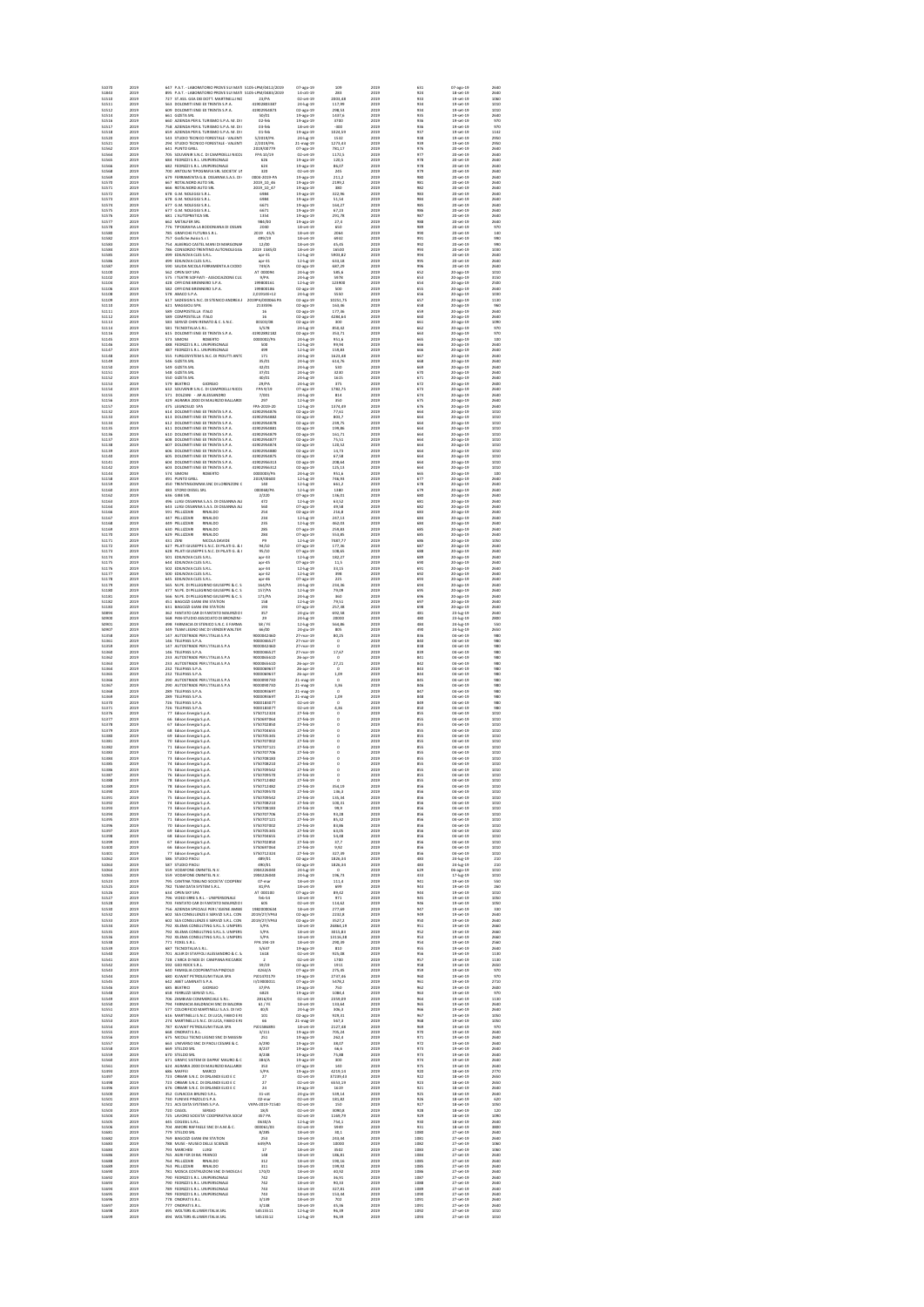2019 647 P.A.T. - LABORATORIO PROVE SUI MATERIALI - S105LPM/0412/2019 07-ago-19 109 2019 631 07-ago-19 2640 51843 2019 895 P.A.T. - LABORATORIO PROVE SUI MATERIALI - S105LPM/0483/2019 14-ott-19 283 2019 924 18-set-19 2640 51510 2019 727 ST.ASS. GEA DEI DOTT. MARTINELLI NOCENTINI E GORI 23/PA02-set-19 2003,48 2019 933 19-set-19 1060 51511 2019 563 DOLOMITI ENERGIA S.P.A. EX TRENTA S.P.A. 41902803387 24-lug-19 117,99 2019 934 19-set-19 1010 51512 2019 609 DOLOMITI ENERGIA S.P.A. EX TRENTA S.P.A. 41902954873 02-ago-19 298,53 2019 934 19-set-19 1010 51514 2019 661 GIZETA SRL 50/01 19-ago-19 1437,6 2019 935 19-set-19 2640 51516 2019 660 AZIENDA PER IL TURISMO S.P.A. M. DI CAMPIGLIO - PINZOLO - VAL RENDENA 02-feb 19-ago-19 3700 2019 936 19-set-19 970 51517 2019 758 AZIENDA PER IL TURISMO S.P.A. M. DI CAMPIGLIO - PINZOLO - VAL RENDENA 03-feb 18-set-19 -300 2019 936 19-set-19 970 51518 2019 659 AZIENDA PER IL TURISMO S.P.A. M. DI CAMPIGLIO - PINZOLO - VAL RENDENA 01-feb 19-ago-19 1024,59 2019 937 19-set-19 1142 51520 2019 543 STUDIO TECNICO FORESTALE - VALENTINI DOTT. EZIO 5/2019/PA 24-lug-19 1532 2019 938 19-set-19 2950 51521 2019 294 STUDIO TECNICO FORESTALE - VALENTINI DOTT. EZIO 2/2019/PA 21-mag-19 1273,43 2019 939 19-set-19 2950 51562 2019 641 PUNTO GRILL 2019/00779 07-ago-19 781,17 2019 976 20-set-19 2640 51564 2019 705 SOUVENIR S.N.C. DI CAMPIDELLI NICOLA & C FPA 10/19 02-set-19 1172,5 2019 977 20-set-19 2640 51565 2019 684 FEDRIZZI S.R.L. UNIPERSONALE 626 19-ago-19 120,5 2019 978 20-set-19 2640 51566 2019 682 FEDRIZZI S.R.L. UNIPERSONALE 624 19-ago-19 86,07 2019 978 20-set-19 2640 51568 2019 700 ANTOLINI TIPOGRAFIA SRL SOCIETA' UNIPERSONALE320 02-set-19 245 2019 979 20-set-19 2640 51569 2019 679 FERRAMENTA G.B. OSSANNA S.A.S. DI GIOVANNI BATTISTA OSSANNA & C. 0004-2019-PA 19-ago-19 211,2 2019 980 20-set-19 2640 51570 2019 667 ROTALNORD AUTO SRL 2019\_10\_46 19-ago-19 2199,2 2019 981 20-set-19 2640 51571 2019 666 ROTALNORD AUTO SRL 2019\_10\_47 19-ago-19 380 2019 982 20-set-19 2640 51572 2019 678 G.M. NOLEGGI S.R.L. 6984 19-ago-19 322,96 2019 983 20-set-19 2640 51573 2019 678 G.M. NOLEGGI S.R.L. 6984 19-ago-19 51,54 2019 984 20-set-19 2640 51574 2019 677 G.M. NOLEGGI S.R.L. 6671 19-ago-19 164,27 2019 985 20-set-19 2640 51575 2019 677 G.M. NOLEGGI S.R.L. 6671 19-ago-19 67,23 2019 986 20-set-19 2640 51576 2019 681 L'AUTOPRATICA SRL 1354 19-ago-19 291,78 2019 987 20-set-19 2640 51577 2019 662 METALFER SRL 984/00 19-ago-19 27,4 2019 988 20-set-19 2640 51578 2019 776 TIPOGRAFIA LA BODONIANA DI OSSANNA PAOLO E C. SAS 2040 18-set-19 650 2019 989 20-set-19 970 51580 2019 785 GRAFICHE FUTURA S.R.L. 2019 45/S 18-set-19 2064 2019 990 20-set-19 140 51582 2019 757 Grafiche Avisio S.r.l. 499/19 18-set-19 6932 2019 991 20-set-19 990 51583 2019 754 ALBERGO CASTEL MANI DI MARGONARI NILO & C. S.N.C. 12/00 18-set-19 45,45 2019 992 20-set-19 990 51584 2019 786 CONSORZIO TRENTINO AUTONOLEGGIATORI2019 1585/D 18-set-19 16500 2019 993 20-set-19 1030 51585 2019 499 EDILNOVA CLES S.R.L. apr-31 12-lug-19 5903,82 2019 994 20-set-19 2640 51586 2019 499 EDILNOVA CLES S.R.L. apr-31 12-lug-19 633,18 2019 995 20-set-19 2640 51587 2019 590 SAUDA NICOLA FERRAMENTA A CIODO 749/A 02-ago-19 687,29 2019 996 20-set-19 2640 51100 2019 562 OPEN SKY SPA AT 000094 24-lug-19 585,6 2019 652 20-ago-19 1010 51102 2019 575 I TEATRI SOFFIATI - ASSOCIAZIONE CULTURALE - 9/PA 24-lug-19 5978 2019 653 20-ago-19 3150 51104 2019 428 OFFICINE BRENNERO S.P.A. 199800161 12-lug-19 123900 2019 654 20-ago-19 2500 51106 2019 582 OFFICINE BRENNERO S.P.A. 199800186 02-ago-19 500 2019 655 20-ago-19 2640 51108 2019 578 ABACO S.P.A. 2,01914E+12 24-lug-19 5550 2019 656 20-ago-19 1030 51109 2019 617 SADESIGN S.N.C. DI STENICO ANDREA & C.2019PA/000066 PA 02-ago-19 10251,75 2019 657 20-ago-19 1130 51110 2019 621 MAGGIOLI SPA 2133596 02-ago-19 163,46 2019 658 20-ago-19 960 51111 2019 589 COMPOSTELLA ITALO 16 02-ago-19 177,36 2019 659 20-ago-19 2640 51112 2019 589 COMPOSTELLA ITALO 16 02-ago-19 4284,64 2019 660 20-ago-19 2640 51113 2019 583 SERVIZI CHINI RENATO & C. S.N.C. 00103/08 02-ago-19 300 2019 661 20-ago-19 1090 51114 2019 581 TECNOITALIA S.R.L. 5/578 24-lug-19 850,42 2019 662 20-ago-19 970 51116 2019 615 DOLOMITI ENERGIA S.P.A. EX TRENTA S.P.A. 41902892182 02-ago-19 353,71 2019 663 20-ago-19 970 51145 2019 573 SIMONI ROBERTO 0000002/PA 24-lug-19 951,6 2019 665 20-ago-19 100 51146 2019 488 FEDRIZZI S.R.L. UNIPERSONALE 500 12-lug-19 99,94 2019 666 20-ago-19 2640 51147 2019 487 FEDRIZZI S.R.L. UNIPERSONALE 499 12-lug-19 159,83 2019 666 20-ago-19 2640 51148 2019 555 FURGOSYSTEM S.N.C. DI PIDUTTI ANTONELLO E C.171 24-lug-19 1623,48 2019 667 20-ago-19 2640 51149 2019 546 GIZETA SRL 35/01 24-lug-19 614,76 2019 668 20-ago-19 2640 51150 2019 549 GIZETA SRL 42/01 24-lug-19 530 2019 669 20-ago-19 2640 51151 2019 548 GIZETA SRL 37/01 24-lug-19 3230 2019 670 20-ago-19 2640 51152 2019 550 GIZETA SRL 40/01 24-lug-19 1615 2019 671 20-ago-19 2640 51153 2019 579 BEATRICI GIORGIO 29/PA 24-lug-19 375 2019 672 20-ago-19 2600 51154 2019 632 SOUVENIR S.N.C. DI CAMPIDELLI NICOLA & C FPA 9/19 07-ago-19 1782,75 2019 673 20-ago-19 2640 51155 2019 571 DOLZANI - ARTE FABBRO ALESSANDRO 7/001 24-lug-19 814 2019 674 20-ago-19 2640 51156 2019 429 AGRARIA 2000 DI MAURIZIO BALLARDINI & C. S.N.C. 297 12-lug-19 350 2019 675 20-ago-19 2640 51157 2019 475 LEGNOSUD SPA FPA-2019-20 12-lug-19 1374,49 2019 676 20-ago-19 2640 51132 2019 614 DOLOMITI ENERGIA S.P.A. EX TRENTA S.P.A. 41902954876 02-ago-19 77,61 2019 664 20-ago-19 1010 51133 2019 613 DOLOMITI ENERGIA S.P.A. EX TRENTA S.P.A. 41902954882 02-ago-19 803,7 2019 664 20-ago-19 1010 51134 2019 612 DOLOMITI ENERGIA S.P.A. EX TRENTA S.P.A. 41902954878 02-ago-19 239,75 2019 664 20-ago-19 1010 51135 2019 611 DOLOMITI ENERGIA S.P.A. EX TRENTA S.P.A. 41902954881 02-ago-19 199,86 2019 664 20-ago-19 1010 51136 2019 610 DOLOMITI ENERGIA S.P.A. EX TRENTA S.P.A. 41902954879 02-ago-19 161,71 2019 664 20-ago-19 1010 51137 2019 608 DOLOMITI ENERGIA S.P.A. EX TRENTA S.P.A. 41902954877 02-ago-19 75,51 2019 664 20-ago-19 1010 51138 2019 607 DOLOMITI ENERGIA S.P.A. EX TRENTA S.P.A. 41902954874 02-ago-19 120,52 2019 664 20-ago-19 1010 51139 2019 606 DOLOMITI ENERGIA S.P.A. EX TRENTA S.P.A. 41902954880 02-ago-19 14,73 2019 664 20-ago-19 1010 51140 2019 605 DOLOMITI ENERGIA S.P.A. EX TRENTA S.P.A. 41902954875 02-ago-19 67,58 2019 664 20-ago-19 1010 51141 2019 604 DOLOMITI ENERGIA S.P.A. EX TRENTA S.P.A. 41902956313 02-ago-19 208,64 2019 664 20-ago-19 1010 51142 2019 603 DOLOMITI ENERGIA S.P.A. EX TRENTA S.P.A. 41902956312 02-ago-19 125,13 2019 664 20-ago-19 1010 51144 2019 574 SIMONI ROBERTO 0000003/PA 24-lug-19 951,6 2019 665 20-ago-19 100 51158 2019 491 PUNTO GRILL 2019/00600 12-lug-19 746,93 2019 677 20-ago-19 2640 51159 2019 450 TRENTINGOMMA SNC DI LORENZONI CR 140 12-lug-19 661,2 2019 678 20-ago-19 2640 51160 2019 483 STORO DIESEL SRL 000068/PA 12-lug-19 1380 2019 679 20-ago-19 2640 51162 2019 636 GIBE SRL 2/220 07-ago-19 136,01 2019 680 20-ago-19 2640 51163 2019 496 LUIGI OSSANNA S.A.S. DI OSSANNA ALBERTO & C 472 12-lug-19 63,52 2019 681 20-ago-19 2640 51164 2019 643 LUIGI OSSANNA S.A.S. DI OSSANNA ALBERTO & C 560 07-ago-19 49,58 2019 682 20-ago-19 2640 51166 2019 591 PELLIZZARI RINALDO 254 02-ago-19 216,8 2019 683 20-ago-19 2640 51167 2019 447 PELLIZZARI RINALDO 234 12-lug-19 247,13 2019 684 20-ago-19 2640 51168 2019 449 PELLIZZARI RINALDO 235 12-lug-19 462,03 2019 684 20-ago-19 2640 51169 2019 630 PELLIZZARI RINALDO 285 07-ago-19 259,83 2019 685 20-ago-19 2640 51170 2019 629 PELLIZZARI RINALDO 284 07-ago-19 553,85 2019 685 20-ago-19 2640 51171 2019 431 ZENI NICOLA DAVIDE P9 12-lug-19 7487,77 2019 686 20-ago-19 1050 51172 2019 627 PILATI GIUSEPPE S.N.C. DI PILATI G. & C. 94/10 07-ago-19 177,36 2019 687 20-ago-19 2640 51173 2019 628 PILATI GIUSEPPE S.N.C. DI PILATI G. & C. 95/10 07-ago-19 108,65 2019 688 20-ago-19 2640 51174 2019 501 EDILNOVA CLES S.R.L. apr-33 12-lug-19 182,27 2019 689 20-ago-19 2640 51175 2019 644 EDILNOVA CLES S.R.L. apr-45 07-ago-19 11,5 2019 690 20-ago-19 2640 51176 2019 502 EDILNOVA CLES S.R.L. apr-34 12-lug-19 33,15 2019 691 20-ago-19 2640 51177 2019 500 EDILNOVA CLES S.R.L. apr-32 12-lug-19 398 2019 692 20-ago-19 2640 51178 2019 645 EDILNOVA CLES S.R.L. apr-46 07-ago-19 225 2019 693 20-ago-19 2640 51179 2019 565 NI.PE. DI PELLEGRINO GIUSEPPE & C. S.N.C 164/PA 24-lug-19 234,36 2019 694 20-ago-19 2640 51180 2019 477 NI.PE. DI PELLEGRINO GIUSEPPE & C. S.N.C 157/PA 12-lug-19 79,09 2019 695 20-ago-19 2640 51181 2019 566 NI.PE. DI PELLEGRINO GIUSEPPE & C. S.N.C 171/PA 24-lug-19 360 2019 696 20-ago-19 2640 51182 2019 451 BAGOZZI GIANLUIGI & POLI FABIANO SNC ENI STATION 158 12-lug-19 79,51 2019 697 20-ago-19 2640 51183 2019 631 BAGOZZI GIANLUIGI & POLI FABIANO SNC ENI STATION 193 07-ago-19 257,38 2019 698 20-ago-19 2640 50894 2019 362 FANTATO CAR DI FANTATO MAURIZIO E C. S.A.S. 357 24-giu-19 692,58 2019 481 23-lug-19 2640 50900 2019 568 PAN-STUDIO ASSOCIATO DI BRONZINI - ODASSO - TOMASI 29 24-lug-19 20000 2019 480 23-lug-19 2800 50901 2019 498 FARMACIA DI STENICO S.N.C. E FARMACIA DI S. LORENZO 58 / FE 12-lug-19 564,86 2019 484 24-lug-19 550 50907 2019 349 TEAM LEGNO SNC DI VENDER WALTER E C. 66/00 24-giu-19 805 2019 490 24-lug-19 2650 51358 2019 147 AUTOSTRADE PER L'ITALIA S.P.A 900004246D 27-mar-19 80,25 2019 836 04-set-19 980 51361 2019 146 TELEPASS S.P.A. 900004652T 27-mar-19 51359 2019 147 AUTOSTRADE PER L'ITALIA S.P.A 900004246D 27-mar-19 51360 2019 146 TELEPASS S.P.A. 900004652T 27-mar-19 17,67 2019 839 04-set-19 980 51362 2019 233 AUTOSTRADE PER L'ITALIA S.P.A 900006561D 26-apr-19 51363 2019 233 AUTOSTRADE PER L'ITALIA S.P.A 900006561D 26-apr-19 27,21 2019 842 04-set-19 980 51364 2019 232 TELEPASS S.P.A. 900006965T 26-apr-19 51365 2019 232 TELEPASS S.P.A. 900006965T 26-apr-19 1,09 2019 844 04-set-19 980 51366 2019 290 AUTOSTRADE PER L'ITALIA S.P.A 900009073D 21-mag-19 51367 2019 290 AUTOSTRADE PER L'ITALIA S.P.A 900009073D 21-mag-19 3,36 2019 846 04-set-19 980 51368 2019 289 TELEPASS S.P.A. 900009369T 21-mag-19 51369 2019 289 TELEPASS S.P.A. 900009369T 21-mag-19 1,09 2019 848 04-set-19 980 51370 2019 726 TELEPASS S.P.A. 900018307T 02-set-19 51371 2019 726 TELEPASS S.P.A. 900018307T 02-set-19 4,36 2019 850 04-set-19 980 51376 2019 77 Edison Energia S.p.A. 5750712324 27-feb-19 51377 2019 66 Edison Energia S.p.A. 5750697064 27-feb-19 51378 2019 67 Edison Energia S.p.A. 5750702850 27-feb-19 51379 2019 68 Edison Energia S.p.A. 5750704655 27-feb-19 51380 2019 69 Edison Energia S.p.A. 5750705345 27-feb-19 51381 2019 70 Edison Energia S.p.A. 5750707002 27-feb-19 51382 2019 71 Edison Energia S.p.A. 5750707121 27-feb-19 51383 2019 72 Edison Energia S.p.A. 5750707706 27-feb-19 51384 2019 73 Edison Energia S.p.A. 5750708183 27-feb-19 51385 2019 74 Edison Energia S.p.A. 5750708210 27-feb-19 51386 2019 75 Edison Energia S.p.A. 5750709542 27-feb-19 51387 2019 76 Edison Energia S.p.A. 5750709570 27-feb-19 51388 2019 78 Edison Energia S.p.A. 5750712482 27-feb-19 51389 2019 78 Edison Energia S.p.A. 5750712482 27-feb-19 354,19 2019 856 04-set-19 1010 51390 2019 76 Edison Energia S.p.A. 5750709570 27-feb-19 136,3 2019 856 04-set-19 1010 51391 2019 75 Edison Energia S.p.A. 5750709542 27-feb-19 135,34 2019 856 04-set-19 1010 51392 2019 74 Edison Energia S.p.A. 5750708210 27-feb-19 100,31 2019 856 04-set-19 1010 51393 2019 73 Edison Energia S.p.A. 5750708183 27-feb-19 99,9 2019 856 04-set-19 1010 51394 2019 72 Edison Energia S.p.A. 5750707706 27-feb-19 93,28 2019 856 04-set-19 1010 51395 2019 71 Edison Energia S.p.A. 5750707121 27-feb-19 85,32 2019 856 04-set-19 1010 51396 2019 70 Edison Energia S.p.A. 5750707002 27-feb-19 83,86 2019 856 04-set-19 1010 51397 2019 69 Edison Energia S.p.A. 5750705345 27-feb-19 63,05 2019 856 04-set-19 1010 51398 2019 68 Edison Energia S.p.A. 5750704655 27-feb-19 54,48 2019 856 04-set-19 1010 51399 2019 67 Edison Energia S.p.A. 5750702850 27-feb-19 37,7 2019 856 04-set-19 1010 51400 2019 66 Edison Energia S.p.A. 5750697064 27-feb-19 9,92 2019 856 04-set-19 1010 51401 2019 77 Edison Energia S.p.A. 5750712324 27-feb-19 327,39 2019 856 04-set-19 1010 51062 2019 586 STUDIO PAOLI 489/01 02-ago-19 1826,34 2019 483 24-lug-19 210 51063 2019 587 STUDIO PAOLI 490/01 02-ago-19 1826,34 2019 483 24-lug-19 210 51064 2019 559 VODAFONE OMNITEL N.V. 1904226040 24-lug-19 51065 2019 559 VODAFONE OMNITEL N.V. 1904226040 24-lug-19 196,73 2019 433 17-lug-19 1010 51523 2019 795 CANTINA TOBLINO SOCIETA' COOPERATIVA 07-mar 18-set-19 111,4 2019 941 19-set-19 550 51525 2019 782 TEAM DATA SYSTEM S.R.L. 81/PA 18-set-19 699 2019 943 19-set-19 260 51526 2019 634 OPEN SKY SPA AT 000100 07-ago-19 89,42 2019 944 19-set-19 1010 51527 2019 796 VIDEO ERRE S.R.L. - UNIPERSONALE feb-54 18-set-19 971 2019 945 19-set-19 1050 51528 2019 703 FANTATO CAR DI FANTATO MAURIZIO E C. S.A.S. 605 02-set-19 114,62 2019 946 19-set-19 1050 51530 2019 756 AZIENDA SPECIALE PER L'IGIENE AMBIENTALE - ASIA 19820000634 18-set-19 277,69 2019 947 19-set-19 330 51532 2019 602 SEA CONSULENZE E SERVIZI S.R.L. CON UNICO SOCIO 2019/27/VPA3 02-ago-19 2232,8 2019 949 19-set-19 2640 51533 2019 602 SEA CONSULENZE E SERVIZI S.R.L. CON UNICO SOCIO 2019/27/VPA3 02-ago-19 3527,2 2019 950 19-set-19 2640 51534 2019 792 XILEMA CONSULTING S.R.L.S. UNIPERSONALE 5/PA 18-set-19 26864,19 2019 951 19-set-19 2660 51535 2019 792 XILEMA CONSULTING S.R.L.S. UNIPERSONALE 5/PA 18-set-19 3015,83 2019 952 19-set-19 2660 51536 2019 792 XILEMA CONSULTING S.R.L.S. UNIPERSONALE 5/PA 18-set-19 13116,38 2019 953 19-set-19 2660 51538 2019 771 FOXEL S.R.L. FPA 194-19 18-set-19 290,39 2019 954 19-set-19 2560 51539 2019 687 TECNOITALIA S.R.L. 5/637 19-ago-19 810 2019 955 19-set-19 2640 51540 2019 701 ALSIR DI STAFFOLI ALESSANDRO & C. SAS 1618 02-set-19 925,08 2019 956 19-set-19 1130 51541 2019 728 L'ARCA DI NOE DI CAMPANA RICCARDO 51542 2019 592 GEO ROCK S.R.L. 59/19 02-ago-19 1911 2019 958 19-set-19 2650 51543 2019 640 FAMIGLIA COOPERATIVA PINZOLO 4263/A 07-ago-19 275,45 2019 959 19-set-19 970 51544 2019 680 KUWAIT PETROLEUM ITALIA SPA PJ01470179 19-ago-19 2737,46 2019 960 19-set-19 970 51545 2019 642 ABET LAMINATI S.P.A. II/19000011 07-ago-19 5478,2 2019 961 19-set-19 2710 51546 2019 685 BEATRICI GIORGIO 37/PA 19-ago-19 750 2019 962 19-set-19 2600 51548 2019 658 FERRUZZI SERVIZI S.R.L. 6823 19-ago-19 1084,4 2019 963 19-set-19 970 51549 2019 706 ZAMBIASI COMMERCIALE S.R.L. 2816/04 02-set-19 2359,09 2019 964 19-set-19 1130 51550 2019 794 FARMACIA BALDRACHI SNC DI BALDRACHI FABIO E LUKAS 61 / FE 18-set-19 133,64 2019 965 19-set-19 2640 51551 2019 577 COLORIFICIO MARTINELLI S.A.S. DI IVO MARTINELLI E C. 40/E 24-lug-19 306,3 2019 966 19-set-19 2640 51552 2019 616 MARTINELLI S.N.C. DI LUCA, FABIO E ROBERTO MARTINELLI 101 02-ago-19 929,31 2019 967 19-set-19 1050 51553 2019 274 MARTINELLI S.N.C. DI LUCA, FABIO E ROBERTO MARTINELLI 66 21-mag-19 567,3 2019 968 19-set-19 1050 51554 2019 787 KUWAIT PETROLEUM ITALIA SPA PJ01586893 18-set-19 2127,48 2019 969 19-set-19 970 51555 2019 668 ONORATI S.R.L. 3/111 19-ago-19 705,24 2019 970 19-set-19 2640 51556 2019 675 NICOLLI TECNO LEGNO SNC DI MASSIMO E MATTEO NICOLLI 251 19-ago-19 262,4 2019 971 19-set-19 2640 51557 2019 663 UNIVERSO SNC DI PAOLI CESARE & C. A/290 19-ago-19 38,07 2019 972 19-set-19 2640 51558 2019 669 STELDO SRL 8/237 19-ago-19 66,6 2019 973 19-set-19 2640 51559 2019 670 STELDO SRL 8/238 19-ago-19 75,88 2019 973 19-set-19 2640 51560 2019 671 GRAFIC SISTEM DI DAPRA' MAURO & C. SNC 384/A 19-ago-19 300 2019 974 19-set-19 2640 51561 2019 624 AGRARIA 2000 DI MAURIZIO BALLARDINI & C. S.N.C. 353 07-ago-19 140 2019 975 19-set-19 2640 51493 2019 686 MAFFEI MARCO 5/PA 19-ago-19 4219,14 2019 920 18-set-19 2770 51497 2019 723 ORBARI S.N.C. DI ORLANDI ELIO E C 27 02-set-19 37239,43 2019 922 18-set-19 2650 51498 2019 723 ORBARI S.N.C. DI ORLANDI ELIO E C 27 02-set-19 6553,19 2019 923 18-set-19 2650 51496 2019 676 ORBARI S.N.C. DI ORLANDI ELIO E C 24 19-ago-19 1619 2019 921 18-set-19 2640 51500 2019 352 CUNACCIA BRUNO S.R.L. 31-ott 24-giu-19 539,14 2019 925 18-set-19 2640 51501 2019 730 FUNIVIE PINZOLO S.P.A. 02-mar 02-set-19 181,82 2019 926 18-set-19 620 51502 2019 721 ACS DATA SYSTEMS S.P.A. VKPA-2019-71540 02-set-19 150 2019 927 18-set-19 1050 51503 2019 720 CAGOL SERGIO 18/E 02-set-19 3090,8 2019 928 18-set-19 120 51504 2019 725 LAVORO SOCIETA' COOPERATIVA SOCIALE 457 PA 02-set-19 1169,79 2019 929 18-set-19 1090 51505 2019 445 COGESIL S.R.L. 0630/A 12-lug-19 754,1 2019 930 18-set-19 2640 51506 2019 704 AMORE RAFFAELE SNC DI A.M.& C. 000061/03 02-set-19 5949 2019 931 18-set-19 3800 51681 2019 779 STELDO SRL 8/285 18-set-19 30,1 2019 1080 27-set-19 2640 51682 2019 769 BAGOZZI GIANLUIGI & POLI FABIANO SNC ENI STATION 253 18-set-19 243,44 2019 1081 27-set-19 2640 51683 2019 788 MUSE - MUSEO DELLE SCIENZE 649/PA 18-set-19 10000 2019 1082 27-set-19 1060 51684 2019 793 MARCHESI LUIGI 17 18-set-19 3502 2019 1083 27-set-19 1060 51686 2019 765 AGRI FER DI BAZZOLI FRANCO 148 18-set-19 186,81 2019 1084 27-set-19 2640 51688 2019 764 PELLIZZARI RINALDO 312 18-set-19 190,16 2019 1085 27-set-19 2640 51689 2019 763 PELLIZZARI RINALDO 311 18-set-19 199,92 2019 1085 27-set-19 2640 51690 2019 781 MOSCA COSTRUZIONI SNC DI MOSCA GEOM. DANIELE 170/D 18-set-19 40,92 2019 1086 27-set-19 2640 51692 2019 790 FEDRIZZI S.R.L. UNIPERSONALE 742 18-set-19 36,91 2019 1087 27-set-19 2640 51693 2019 790 FEDRIZZI S.R.L. UNIPERSONALE 742 18-set-19 90,33 2019 1088 27-set-19 2640 51694 2019 789 FEDRIZZI S.R.L. UNIPERSONALE 743 18-set-19 327,81 2019 1089 27-set-19 2640 51695 2019 789 FEDRIZZI S.R.L. UNIPERSONALE 743 18-set-19 153,44 2019 1090 27-set-19 2640 51696 2019 778 ONORATI S.R.L. 3/139 18-set-19 702 2019 1091 27-set-19 2640 51697 2019 777 ONORATI S.R.L. 3/138 18-set-19 45,36 2019 1091 27-set-19 2640 51698 2019 495 WOLTERS KLUWER ITALIA SRL 54515511 12-lug-19 96,39 2019 1092 27-set-19 1010 51699 2019 494 WOLTERS KLUWER ITALIA SRL 54515512 12-lug-19 96,39 2019 1093 27-set-19 1010 2019 840 04-set-19 980 0 2019 838 04-set-19 980 0 2019 841 04-set-19 980 0 2019 843 04-set-19 980 0 2019 845 04-set-19 980 0 2019 847 04-set-19 980 0 2019 849 04-set-19 980 0 2019 855 04-set-19 1010 0 2019 855 04-set-19 1010 0 2019 855 04-set-19 1010 0 2019 855 04-set-19 1010 0 2019 855 04-set-19 1010 0 2019 855 04-set-19 1010 0 2019 855 04-set-19 1010 0 2019 855 04-set-19 1010 0 2019 855 04-set-19 1010 0 2019 855 04-set-19 1010 0 2019 855 04-set-19 1010 0 2019 855 04-set-19 1010 0 2019 855 04-set-19 1010 2019 629 06-ago-19 1010 02-set-19 1700 2019 957 19-set-19 1130